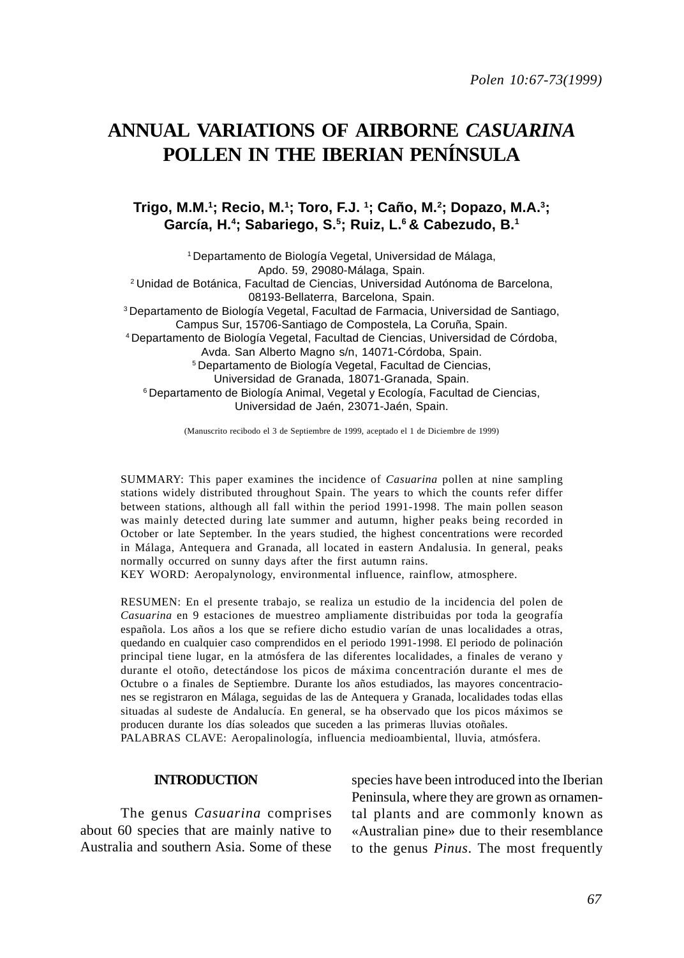# **ANNUAL VARIATIONS OF AIRBORNE** *CASUARINA* **POLLEN IN THE IBERIAN PENÍNSULA**

## **Trigo, M.M.1 ; Recio, M.1 ; Toro, F.J. 1 ; Caño, M.2 ; Dopazo, M.A.3; García, H.4 ; Sabariego, S.5; Ruiz, L.6 & Cabezudo, B.1**

1 Departamento de Biología Vegetal, Universidad de Málaga, Apdo. 59, 29080-Málaga, Spain. 2 Unidad de Botánica, Facultad de Ciencias, Universidad Autónoma de Barcelona, 08193-Bellaterra, Barcelona, Spain. 3 Departamento de Biología Vegetal, Facultad de Farmacia, Universidad de Santiago, Campus Sur, 15706-Santiago de Compostela, La Coruña, Spain. 4 Departamento de Biología Vegetal, Facultad de Ciencias, Universidad de Córdoba, Avda. San Alberto Magno s/n, 14071-Córdoba, Spain. 5 Departamento de Biología Vegetal, Facultad de Ciencias, Universidad de Granada, 18071-Granada, Spain. 6 Departamento de Biología Animal, Vegetal y Ecología, Facultad de Ciencias, Universidad de Jaén, 23071-Jaén, Spain.

(Manuscrito recibodo el 3 de Septiembre de 1999, aceptado el 1 de Diciembre de 1999)

SUMMARY: This paper examines the incidence of *Casuarina* pollen at nine sampling stations widely distributed throughout Spain. The years to which the counts refer differ between stations, although all fall within the period 1991-1998. The main pollen season was mainly detected during late summer and autumn, higher peaks being recorded in October or late September. In the years studied, the highest concentrations were recorded in Málaga, Antequera and Granada, all located in eastern Andalusia. In general, peaks normally occurred on sunny days after the first autumn rains.

KEY WORD: Aeropalynology, environmental influence, rainflow, atmosphere.

RESUMEN: En el presente trabajo, se realiza un estudio de la incidencia del polen de *Casuarina* en 9 estaciones de muestreo ampliamente distribuidas por toda la geografía española. Los años a los que se refiere dicho estudio varían de unas localidades a otras, quedando en cualquier caso comprendidos en el periodo 1991-1998. El periodo de polinación principal tiene lugar, en la atmósfera de las diferentes localidades, a finales de verano y durante el otoño, detectándose los picos de máxima concentración durante el mes de Octubre o a finales de Septiembre. Durante los años estudiados, las mayores concentraciones se registraron en Málaga, seguidas de las de Antequera y Granada, localidades todas ellas situadas al sudeste de Andalucía. En general, se ha observado que los picos máximos se producen durante los días soleados que suceden a las primeras lluvias otoñales. PALABRAS CLAVE: Aeropalinología, influencia medioambiental, lluvia, atmósfera.

#### **INTRODUCTION**

The genus *Casuarina* comprises about 60 species that are mainly native to Australia and southern Asia. Some of these species have been introduced into the Iberian Peninsula, where they are grown as ornamental plants and are commonly known as «Australian pine» due to their resemblance to the genus *Pinus*. The most frequently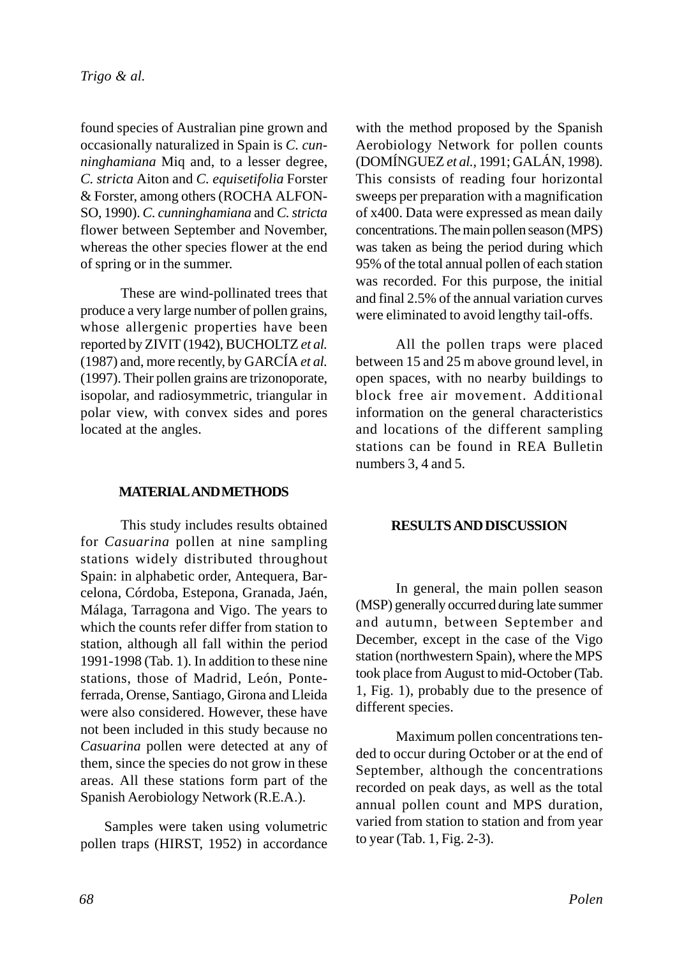found species of Australian pine grown and occasionally naturalized in Spain is *C. cunninghamiana* Miq and, to a lesser degree, *C. stricta* Aiton and *C. equisetifolia* Forster & Forster, among others (ROCHA ALFON-SO, 1990). *C. cunninghamiana* and *C. stricta* flower between September and November, whereas the other species flower at the end of spring or in the summer.

These are wind-pollinated trees that produce a very large number of pollen grains, whose allergenic properties have been reported by ZIVIT (1942), BUCHOLTZ *et al.* (1987) and, more recently, by GARCÍA *et al.* (1997). Their pollen grains are trizonoporate, isopolar, and radiosymmetric, triangular in polar view, with convex sides and pores located at the angles.

## **MATERIAL AND METHODS**

This study includes results obtained for *Casuarina* pollen at nine sampling stations widely distributed throughout Spain: in alphabetic order, Antequera, Barcelona, Córdoba, Estepona, Granada, Jaén, Málaga, Tarragona and Vigo. The years to which the counts refer differ from station to station, although all fall within the period 1991-1998 (Tab. 1). In addition to these nine stations, those of Madrid, León, Ponteferrada, Orense, Santiago, Girona and Lleida were also considered. However, these have not been included in this study because no *Casuarina* pollen were detected at any of them, since the species do not grow in these areas. All these stations form part of the Spanish Aerobiology Network (R.E.A.).

Samples were taken using volumetric pollen traps (HIRST, 1952) in accordance with the method proposed by the Spanish Aerobiology Network for pollen counts (DOMÍNGUEZ *et al.,* 1991; GALÁN, 1998). This consists of reading four horizontal sweeps per preparation with a magnification of x400. Data were expressed as mean daily concentrations. The main pollen season (MPS) was taken as being the period during which 95% of the total annual pollen of each station was recorded. For this purpose, the initial and final 2.5% of the annual variation curves were eliminated to avoid lengthy tail-offs.

All the pollen traps were placed between 15 and 25 m above ground level, in open spaces, with no nearby buildings to block free air movement. Additional information on the general characteristics and locations of the different sampling stations can be found in REA Bulletin numbers 3, 4 and 5.

## **RESULTS AND DISCUSSION**

In general, the main pollen season (MSP) generally occurred during late summer and autumn, between September and December, except in the case of the Vigo station (northwestern Spain), where the MPS took place from August to mid-October (Tab. 1, Fig. 1), probably due to the presence of different species.

Maximum pollen concentrations tended to occur during October or at the end of September, although the concentrations recorded on peak days, as well as the total annual pollen count and MPS duration, varied from station to station and from year to year (Tab. 1, Fig. 2-3).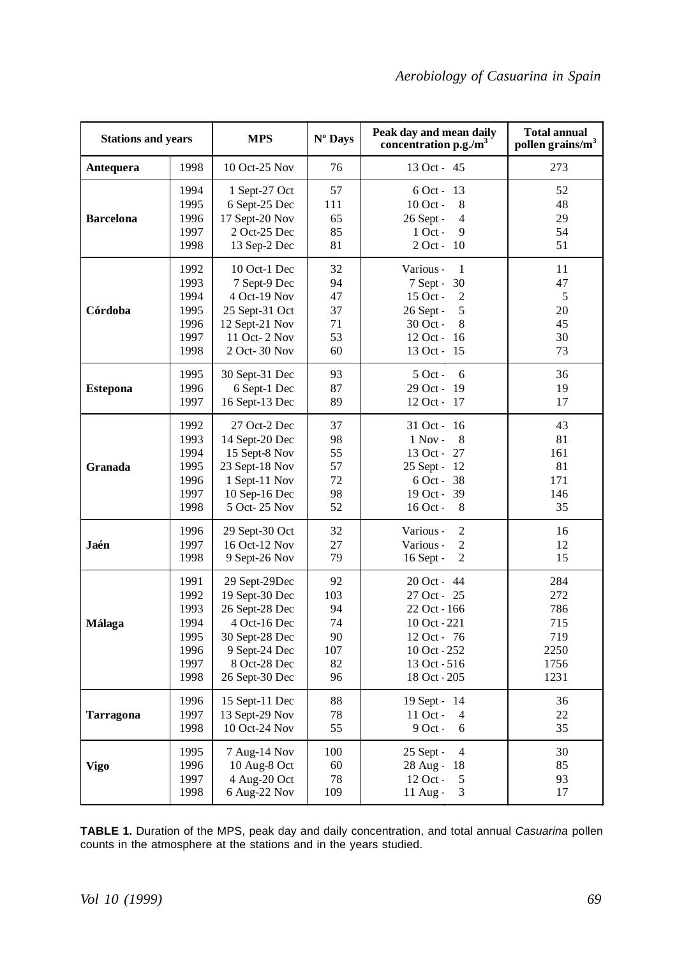| <b>Stations and years</b> |                                                              | <b>MPS</b>                                                                                                                             | Nº Days                                        | Peak day and mean daily<br>concentration p.g./m <sup>3</sup>                                                                    | <b>Total annual</b><br>pollen grains/m <sup>3</sup>     |
|---------------------------|--------------------------------------------------------------|----------------------------------------------------------------------------------------------------------------------------------------|------------------------------------------------|---------------------------------------------------------------------------------------------------------------------------------|---------------------------------------------------------|
| Antequera                 | 1998                                                         | 10 Oct-25 Nov                                                                                                                          | 76                                             | 13 Oct - 45                                                                                                                     | 273                                                     |
| <b>Barcelona</b>          | 1994<br>1995<br>1996<br>1997<br>1998                         | 1 Sept-27 Oct<br>6 Sept-25 Dec<br>17 Sept-20 Nov<br>2 Oct-25 Dec<br>13 Sep-2 Dec                                                       | 57<br>111<br>65<br>85<br>81                    | $6$ Oct - 13<br>10 Oct -<br>8<br>26 Sept -<br>$\overline{4}$<br>$1$ Oct -<br>9<br>2 Oct - 10                                    | 52<br>48<br>29<br>54<br>51                              |
| Córdoba                   | 1992<br>1993<br>1994<br>1995<br>1996<br>1997<br>1998         | 10 Oct-1 Dec<br>7 Sept-9 Dec<br>4 Oct-19 Nov<br>25 Sept-31 Oct<br>12 Sept-21 Nov<br>11 Oct- 2 Nov<br>2 Oct- 30 Nov                     | 32<br>94<br>47<br>37<br>71<br>53<br>60         | Various -<br>1<br>7 Sept -<br>30<br>15 Oct -<br>$\overline{2}$<br>26 Sept -<br>5<br>30 Oct -<br>8<br>12 Oct - 16<br>13 Oct - 15 | 11<br>47<br>5<br>20<br>45<br>30<br>73                   |
| <b>Estepona</b>           | 1995<br>1996<br>1997                                         | 30 Sept-31 Dec<br>6 Sept-1 Dec<br>16 Sept-13 Dec                                                                                       | 93<br>87<br>89                                 | $5$ Oct -<br>6<br>29 Oct - 19<br>12 Oct - 17                                                                                    | 36<br>19<br>17                                          |
| Granada                   | 1992<br>1993<br>1994<br>1995<br>1996<br>1997<br>1998         | 27 Oct-2 Dec<br>14 Sept-20 Dec<br>15 Sept-8 Nov<br>23 Sept-18 Nov<br>1 Sept-11 Nov<br>10 Sep-16 Dec<br>5 Oct-25 Nov                    | 37<br>98<br>55<br>57<br>72<br>98<br>52         | 31 Oct - 16<br>$1$ Nov -<br>8<br>13 Oct - 27<br>25 Sept - 12<br>6 Oct - 38<br>19 Oct - 39<br>16 Oct -<br>8                      | 43<br>81<br>161<br>81<br>171<br>146<br>35               |
| Jaén                      | 1996<br>1997<br>1998                                         | 29 Sept-30 Oct<br>16 Oct-12 Nov<br>9 Sept-26 Nov                                                                                       | 32<br>27<br>79                                 | $\overline{2}$<br>Various -<br>$\overline{2}$<br>Various -<br>$\overline{c}$<br>16 Sept -                                       | 16<br>12<br>15                                          |
| Málaga                    | 1991<br>1992<br>1993<br>1994<br>1995<br>1996<br>1997<br>1998 | 29 Sept-29Dec<br>19 Sept-30 Dec<br>26 Sept-28 Dec<br>4 Oct-16 Dec<br>30 Sept-28 Dec<br>9 Sept-24 Dec<br>8 Oct-28 Dec<br>26 Sept-30 Dec | 92<br>103<br>94<br>74<br>90<br>107<br>82<br>96 | 20 Oct - 44<br>27 Oct - 25<br>22 Oct - 166<br>10 Oct - 221<br>12 Oct - 76<br>10 Oct - 252<br>13 Oct - 516<br>18 Oct - 205       | 284<br>272<br>786<br>715<br>719<br>2250<br>1756<br>1231 |
| <b>Tarragona</b>          | 1996<br>1997<br>1998                                         | 15 Sept-11 Dec<br>13 Sept-29 Nov<br>10 Oct-24 Nov                                                                                      | 88<br>78<br>55                                 | 19 Sept - 14<br>11 Oct -<br>$\overline{4}$<br>9 Oct -<br>6                                                                      | 36<br>22<br>35                                          |
| Vigo                      | 1995<br>1996<br>1997<br>1998                                 | 7 Aug-14 Nov<br>10 Aug-8 Oct<br>4 Aug-20 Oct<br>6 Aug-22 Nov                                                                           | 100<br>60<br>78<br>109                         | 25 Sept -<br>$\overline{4}$<br>28 Aug - 18<br>5<br>12 Oct -<br>3<br>$11$ Aug -                                                  | 30<br>85<br>93<br>17                                    |

**TABLE 1.** Duration of the MPS, peak day and daily concentration, and total annual *Casuarina* pollen counts in the atmosphere at the stations and in the years studied.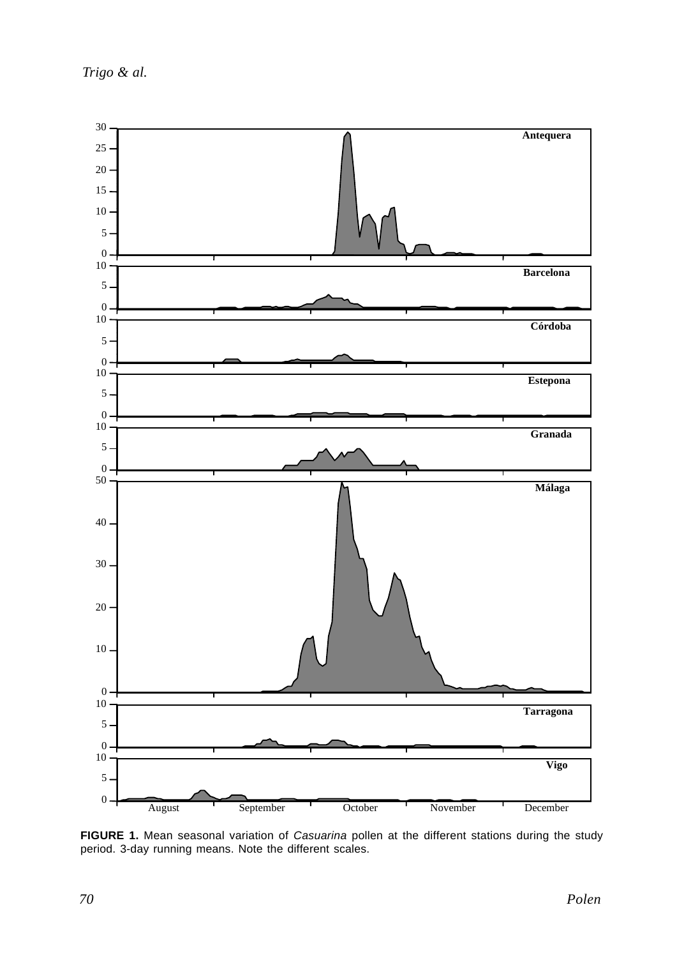*Trigo & al.*



**FIGURE 1.** Mean seasonal variation of *Casuarina* pollen at the different stations during the study period. 3-day running means. Note the different scales.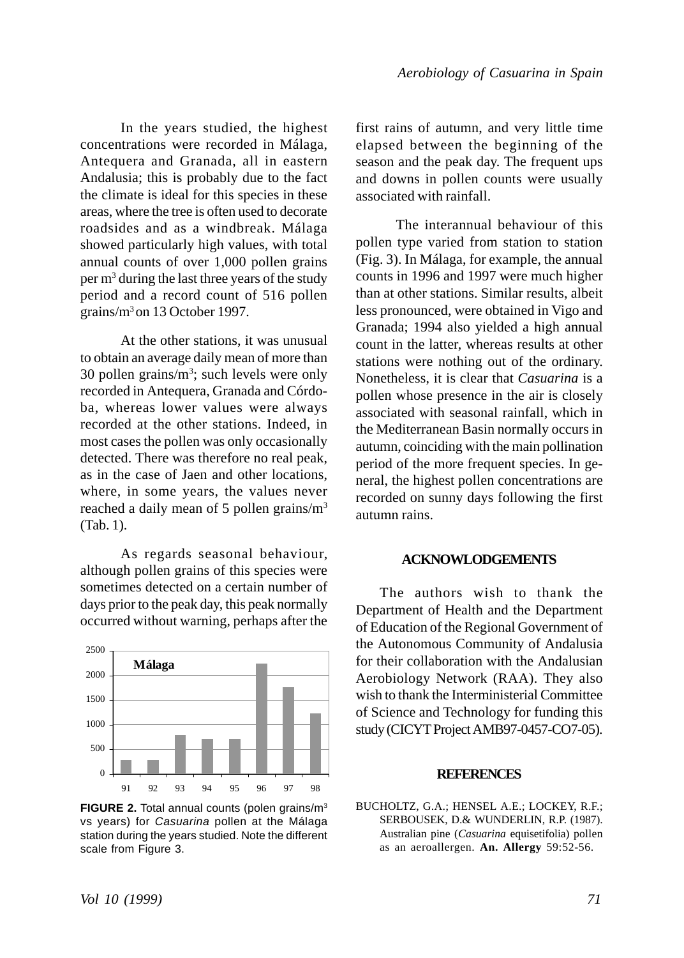In the years studied, the highest concentrations were recorded in Málaga, Antequera and Granada, all in eastern Andalusia; this is probably due to the fact the climate is ideal for this species in these areas, where the tree is often used to decorate roadsides and as a windbreak. Málaga showed particularly high values, with total annual counts of over 1,000 pollen grains per m<sup>3</sup> during the last three years of the study period and a record count of 516 pollen grains/m3 on 13 October 1997.

At the other stations, it was unusual to obtain an average daily mean of more than 30 pollen grains/ $m^3$ ; such levels were only recorded in Antequera, Granada and Córdoba, whereas lower values were always recorded at the other stations. Indeed, in most cases the pollen was only occasionally detected. There was therefore no real peak, as in the case of Jaen and other locations, where, in some years, the values never reached a daily mean of 5 pollen grains/m3 (Tab. 1).

As regards seasonal behaviour, although pollen grains of this species were sometimes detected on a certain number of days prior to the peak day, this peak normally occurred without warning, perhaps after the



**FIGURE 2.** Total annual counts (polen grains/m3 vs years) for *Casuarina* pollen at the Málaga station during the years studied. Note the different scale from Figure 3.

first rains of autumn, and very little time elapsed between the beginning of the season and the peak day. The frequent ups and downs in pollen counts were usually associated with rainfall.

The interannual behaviour of this pollen type varied from station to station (Fig. 3). In Málaga, for example, the annual counts in 1996 and 1997 were much higher than at other stations. Similar results, albeit less pronounced, were obtained in Vigo and Granada; 1994 also yielded a high annual count in the latter, whereas results at other stations were nothing out of the ordinary. Nonetheless, it is clear that *Casuarina* is a pollen whose presence in the air is closely associated with seasonal rainfall, which in the Mediterranean Basin normally occurs in autumn, coinciding with the main pollination period of the more frequent species. In general, the highest pollen concentrations are recorded on sunny days following the first autumn rains.

### **ACKNOWLODGEMENTS**

The authors wish to thank the Department of Health and the Department of Education of the Regional Government of the Autonomous Community of Andalusia for their collaboration with the Andalusian Aerobiology Network (RAA). They also wish to thank the Interministerial Committee of Science and Technology for funding this study (CICYT Project AMB97-0457-CO7-05).

#### **REFERENCES**

BUCHOLTZ, G.A.; HENSEL A.E.; LOCKEY, R.F.; SERBOUSEK, D.& WUNDERLIN, R.P. (1987). Australian pine (*Casuarina* equisetifolia) pollen as an aeroallergen. **An. Allergy** 59:52-56.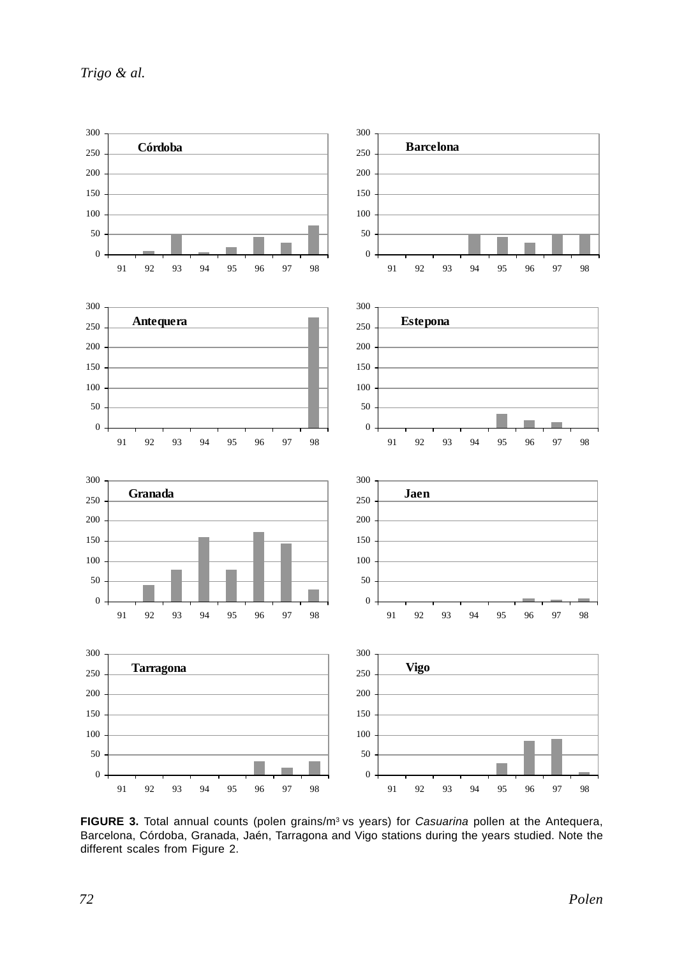*Trigo & al.*



**FIGURE 3.** Total annual counts (polen grains/m3 vs years) for *Casuarina* pollen at the Antequera, Barcelona, Córdoba, Granada, Jaén, Tarragona and Vigo stations during the years studied. Note the different scales from Figure 2.